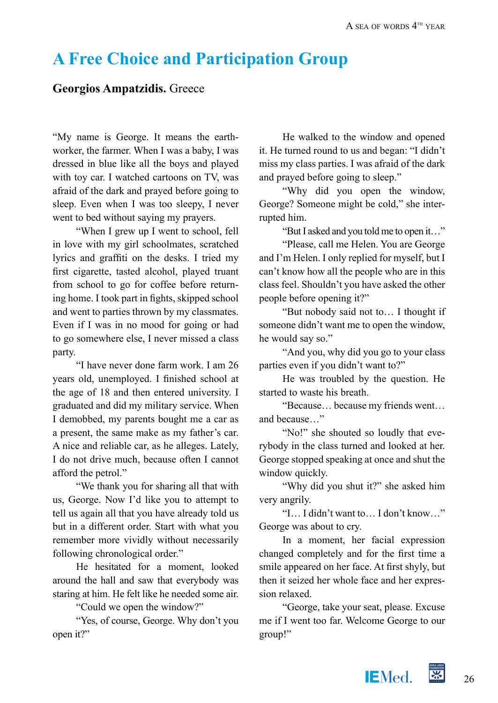## **A Free Choice and Participation Group**

## **Georgios Ampatzidis.** Greece

"My name is George. It means the earthworker, the farmer. When I was a baby, I was dressed in blue like all the boys and played with toy car. I watched cartoons on TV, was afraid of the dark and prayed before going to sleep. Even when I was too sleepy, I never went to bed without saying my prayers.

"When I grew up I went to school, fell in love with my girl schoolmates, scratched lyrics and graffiti on the desks. I tried my first cigarette, tasted alcohol, played truant from school to go for coffee before returning home. I took part in fights, skipped school and went to parties thrown by my classmates. Even if I was in no mood for going or had to go somewhere else, I never missed a class party.

"I have never done farm work. I am 26 years old, unemployed. I finished school at the age of 18 and then entered university. I graduated and did my military service. When I demobbed, my parents bought me a car as a present, the same make as my father's car. A nice and reliable car, as he alleges. Lately, I do not drive much, because often I cannot afford the petrol."

"We thank you for sharing all that with us, George. Now I'd like you to attempt to tell us again all that you have already told us but in a different order. Start with what you remember more vividly without necessarily following chronological order."

He hesitated for a moment, looked around the hall and saw that everybody was staring at him. He felt like he needed some air.

"Could we open the window?"

"Yes, of course, George. Why don't you open it?"

He walked to the window and opened it. He turned round to us and began: "I didn't miss my class parties. I was afraid of the dark and prayed before going to sleep."

"Why did you open the window, George? Someone might be cold," she interrupted him.

"But I asked and you told me to open it…"

"Please, call me Helen. You are George and I'm Helen. I only replied for myself, but I can't know how all the people who are in this class feel. Shouldn't you have asked the other people before opening it?"

"But nobody said not to… I thought if someone didn't want me to open the window, he would say so."

"And you, why did you go to your class parties even if you didn't want to?"

He was troubled by the question. He started to waste his breath.

"Because… because my friends went… and because…"

"No!" she shouted so loudly that everybody in the class turned and looked at her. George stopped speaking at once and shut the window quickly.

"Why did you shut it?" she asked him very angrily.

"I… I didn't want to… I don't know…" George was about to cry.

In a moment, her facial expression changed completely and for the first time a smile appeared on her face. At first shyly, but then it seized her whole face and her expression relaxed.

"George, take your seat, please. Excuse me if I went too far. Welcome George to our group!"

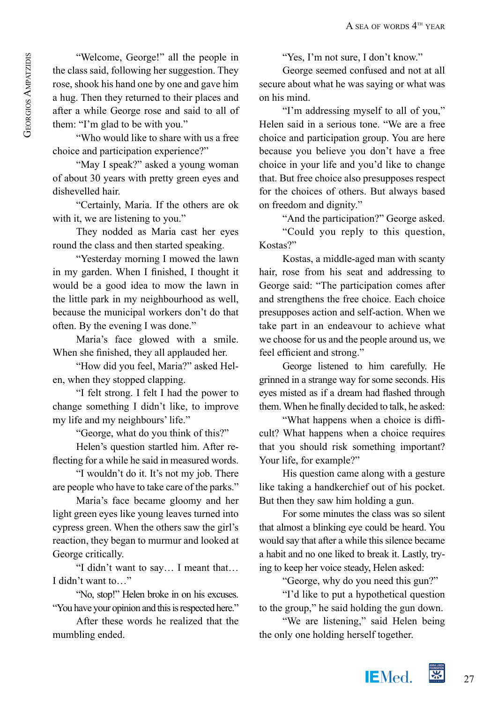"Welcome, George!" all the people in the class said, following her suggestion. They rose, shook his hand one by one and gave him a hug. Then they returned to their places and after a while George rose and said to all of them: "I'm glad to be with you."

"Who would like to share with us a free choice and participation experience?"

"May I speak?" asked a young woman of about 30 years with pretty green eyes and dishevelled hair.

"Certainly, Maria. If the others are ok with it, we are listening to you."

They nodded as Maria cast her eyes round the class and then started speaking.

"Yesterday morning I mowed the lawn in my garden. When I finished, I thought it would be a good idea to mow the lawn in the little park in my neighbourhood as well, because the municipal workers don't do that often. By the evening I was done."

Maria's face glowed with a smile. When she finished, they all applauded her.

"How did you feel, Maria?" asked Helen, when they stopped clapping.

"I felt strong. I felt I had the power to change something I didn't like, to improve my life and my neighbours' life."

"George, what do you think of this?"

Helen's question startled him. After reflecting for a while he said in measured words.

"I wouldn't do it. It's not my job. There are people who have to take care of the parks."

Maria's face became gloomy and her light green eyes like young leaves turned into cypress green. When the others saw the girl's reaction, they began to murmur and looked at George critically.

"I didn't want to say… I meant that… I didn't want to…"

"No, stop!" Helen broke in on his excuses. "You have your opinion and this is respected here."

After these words he realized that the mumbling ended.

"Yes, I'm not sure, I don't know."

George seemed confused and not at all secure about what he was saying or what was on his mind.

"I'm addressing myself to all of you," Helen said in a serious tone. "We are a free choice and participation group. You are here because you believe you don't have a free choice in your life and you'd like to change that. But free choice also presupposes respect for the choices of others. But always based on freedom and dignity."

"And the participation?" George asked.

"Could you reply to this question, Kostas?"

Kostas, a middle-aged man with scanty hair, rose from his seat and addressing to George said: "The participation comes after and strengthens the free choice. Each choice presupposes action and self-action. When we take part in an endeavour to achieve what we choose for us and the people around us, we feel efficient and strong."

George listened to him carefully. He grinned in a strange way for some seconds. His eyes misted as if a dream had flashed through them. When he finally decided to talk, he asked:

"What happens when a choice is difficult? What happens when a choice requires that you should risk something important? Your life, for example?"

His question came along with a gesture like taking a handkerchief out of his pocket. But then they saw him holding a gun.

For some minutes the class was so silent that almost a blinking eye could be heard. You would say that after a while this silence became a habit and no one liked to break it. Lastly, trying to keep her voice steady, Helen asked:

"George, why do you need this gun?"

"I'd like to put a hypothetical question to the group," he said holding the gun down.

"We are listening," said Helen being the only one holding herself together.